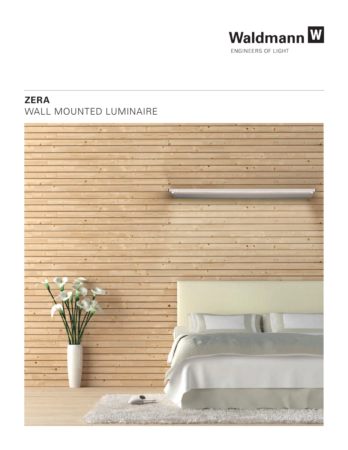

# **ZERA** WALL MOUNTED LUMINAIRE

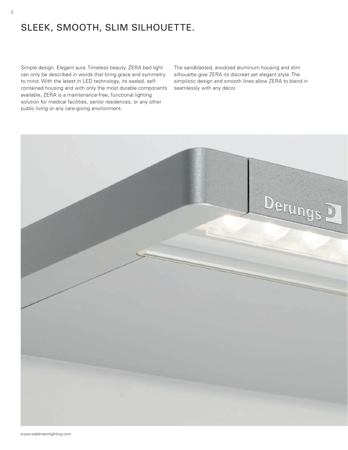# SLEEK, SMOOTH, SLIM SILHOUETTE.

Simple design. Elegant aura. Timeless beauty. ZERA bed light can only be described in words that bring grace and symmetry to mind. With the latest in LED technology, its sealed, selfcontained housing and with only the most durable components available, ZERA is a maintenance-free, functional lighting solution for medical facilities, senior residences, or any other public living or any care-giving environment.

The sandblasted, anodized aluminum housing and slim silhouette give ZERA its discreet yet elegant style. The simplistic design and smooth lines allow ZERA to blend in seamlessly with any décor.

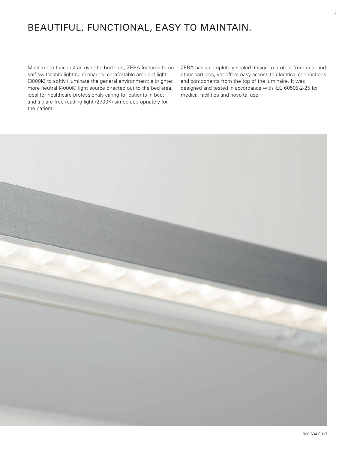# BEAUTIFUL, FUNCTIONAL, EASY TO MAINTAIN.

Much more than just an over-the-bed light, ZERA features three self-switchable lighting scenarios: comfortable ambient light (3000K) to softly illuminate the general environment; a brighter, more neutral (4000K) light source directed out to the bed area, ideal for healthcare professionals caring for patients in bed; and a glare-free reading light (2700K) aimed appropriately for the patient.

ZERA has a completely sealed design to protect from dust and other particles, yet offers easy access to electrical connections and components from the top of the luminaire. It was designed and tested in accordance with IEC 60598-2-25 for medical facilities and hospital use.

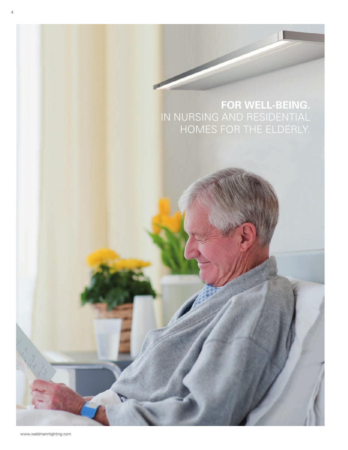# **FOR WELL-BEING.** IN NURSING AND RESIDENTIAL HOMES FOR THE ELDERLY.

4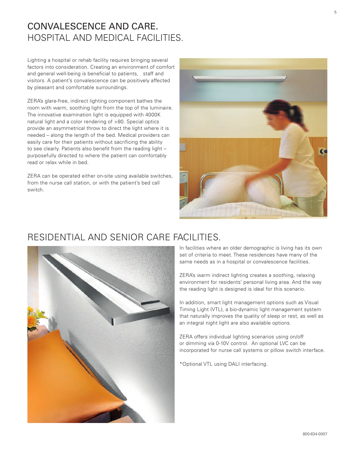## CONVALESCENCE AND CARE. HOSPITAL AND MEDICAL FACILITIES.

Lighting a hospital or rehab facility requires bringing several factors into consideration. Creating an environment of comfort and general well-being is beneficial to patients, staff and visitors. A patient's convalescence can be positively affected by pleasant and comfortable surroundings.

ZERA's glare-free, indirect lighting component bathes the room with warm, soothing light from the top of the luminaire. The innovative examination light is equipped with 4000K natural light and a color rendering of >80. Special optics provide an asymmetrical throw to direct the light where it is needed – along the length of the bed. Medical providers can easily care for their patients without sacrificing the ability to see clearly. Patients also benefit from the reading light – purposefully directed to where the patient can comfortably read or relax while in bed.

ZERA can be operated either on-site using available switches, from the nurse call station, or with the patient's bed call switch.



## RESIDENTIAL AND SENIOR CARE FACILITIES.



In facilities where an older demographic is living has its own set of criteria to meet. These residences have many of the same needs as in a hospital or convalescence facilities.

ZERA's warm indirect lighting creates a soothing, relaxing environment for residents' personal living area. And the way the reading light is designed is ideal for this scenario.

In addition, smart light management options such as Visual Timing Light (VTL), a bio-dynamic light management system that naturally improves the quality of sleep or rest, as well as an integral night light are also available options.

ZERA offers individual lighting scenarios using on/off or dimming via 0-10V control. An optional LVC can be incorporated for nurse call systems or pillow switch interface.

\*Optional VTL using DALI interfacing.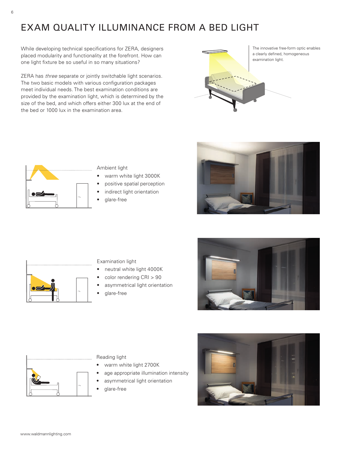# EXAM QUALITY ILLUMINANCE FROM A BED LIGHT

While developing technical specifications for ZERA, designers placed modularity and functionality at the forefront. How can one light fixture be so useful in so many situations?

ZERA has three separate or jointly switchable light scenarios. The two basic models with various configuration packages meet individual needs. The best examination conditions are provided by the examination light, which is determined by the size of the bed, and which offers either 300 lux at the end of the bed or 1000 lux in the examination area.



The innovative free-form optic enables a clearly defined, homogeneous



Ambient light

- warm white light 3000K
- positive spatial perception
- indirect light orientation
- glare-free





Examination light

- neutral white light 4000K
- color rendering CRI > 90
- asymmetrical light orientation
- glare-free





Reading light

- warm white light 2700K
- age appropriate illumination intensity
- asymmetrical light orientation
- glare-free

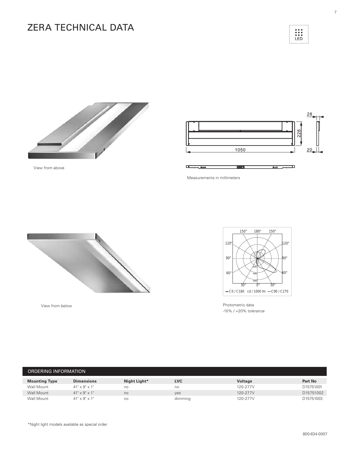# ZERA TECHNICAL DATA







Measurements in millimeters



View from below

View from above



Photometric data -10% / +20% tolerance

| ORDERING INFORMATION |                           |              |            |          |                |
|----------------------|---------------------------|--------------|------------|----------|----------------|
| <b>Mounting Type</b> | <b>Dimensions</b>         | Night Light* | <b>LVC</b> | Voltage  | <b>Part No</b> |
| Wall Mount           | $41" \times 9" \times 1"$ | no           | no         | 120-277V | D15751001      |
| Wall Mount           | $41" \times 9" \times 1"$ | no           | yes        | 120-277V | D15751002      |
| Wall Mount           | $41" \times 9" \times 1"$ | no           | dimming    | 120-277V | D15751003      |